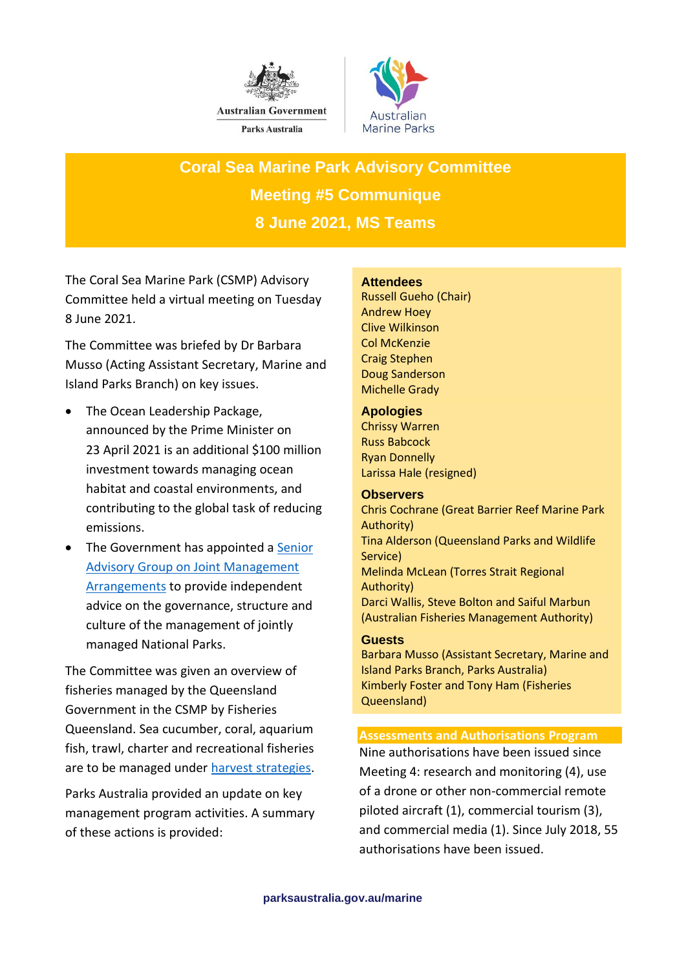



**Coral Sea Marine Park Advisory Committee Meeting #5 Communique 8 June 2021, MS Teams** 

The Coral Sea Marine Park (CSMP) Advisory Committee held a virtual meeting on Tuesday 8 June 2021.

The Committee was briefed by Dr Barbara Musso (Acting Assistant Secretary, Marine and Island Parks Branch) on key issues.

- The Ocean Leadership Package, announced by the Prime Minister on 23 April 2021 is an additional \$100 million investment towards managing ocean habitat and coastal environments, and contributing to the global task of reducing emissions.
- The Government has appointed a [Senior](https://parksaustralia.gov.au/senior-advisory-group/)  [Advisory Group on Joint Management](https://parksaustralia.gov.au/senior-advisory-group/)  [Arrangements](https://parksaustralia.gov.au/senior-advisory-group/) to provide independent advice on the governance, structure and culture of the management of jointly managed National Parks.

The Committee was given an overview of fisheries managed by the Queensland Government in the CSMP by Fisheries Queensland. Sea cucumber, coral, aquarium fish, trawl, charter and recreational fisheries are to be managed under [harvest strategies.](https://www.daf.qld.gov.au/business-priorities/fisheries/sustainable/harvest-strategy)

Parks Australia provided an update on key management program activities. A summary of these actions is provided:

## **Attendees**

Russell Gueho (Chair) Andrew Hoey Clive Wilkinson Col McKenzie Craig Stephen Doug Sanderson Michelle Grady

## **Apologies**

Chrissy Warren Russ Babcock Ryan Donnelly Larissa Hale (resigned)

## **Observers**

Chris Cochrane (Great Barrier Reef Marine Park Authority) Tina Alderson (Queensland Parks and Wildlife Service) Melinda McLean (Torres Strait Regional Authority) Darci Wallis, Steve Bolton and Saiful Marbun (Australian Fisheries Management Authority)

### **Guests**

Barbara Musso (Assistant Secretary, Marine and Island Parks Branch, Parks Australia) Kimberly Foster and Tony Ham (Fisheries Queensland)

## **Assessments and Authorisations Program**

Nine authorisations have been issued since Meeting 4: research and monitoring (4), use of a drone or other non-commercial remote piloted aircraft (1), commercial tourism (3), and commercial media (1). Since July 2018, 55 authorisations have been issued.